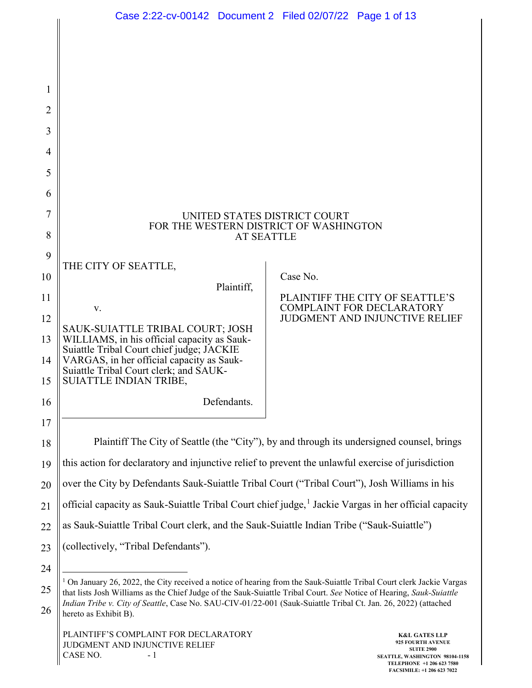|          | Case 2:22-cv-00142 Document 2 Filed 02/07/22 Page 1 of 13                                                                                                                                                                                              |                                                                                            |                                                                     |  |  |  |  |
|----------|--------------------------------------------------------------------------------------------------------------------------------------------------------------------------------------------------------------------------------------------------------|--------------------------------------------------------------------------------------------|---------------------------------------------------------------------|--|--|--|--|
|          |                                                                                                                                                                                                                                                        |                                                                                            |                                                                     |  |  |  |  |
| 1        |                                                                                                                                                                                                                                                        |                                                                                            |                                                                     |  |  |  |  |
| 2        |                                                                                                                                                                                                                                                        |                                                                                            |                                                                     |  |  |  |  |
| 3        |                                                                                                                                                                                                                                                        |                                                                                            |                                                                     |  |  |  |  |
| 4        |                                                                                                                                                                                                                                                        |                                                                                            |                                                                     |  |  |  |  |
| 5        |                                                                                                                                                                                                                                                        |                                                                                            |                                                                     |  |  |  |  |
| 6        |                                                                                                                                                                                                                                                        |                                                                                            |                                                                     |  |  |  |  |
| 7        | UNITED STATES DISTRICT COURT<br>FOR THE WESTERN DISTRICT OF WASHINGTON<br><b>AT SEATTLE</b>                                                                                                                                                            |                                                                                            |                                                                     |  |  |  |  |
| 8        |                                                                                                                                                                                                                                                        |                                                                                            |                                                                     |  |  |  |  |
| 9        | THE CITY OF SEATTLE,                                                                                                                                                                                                                                   |                                                                                            |                                                                     |  |  |  |  |
| 10       | Plaintiff,                                                                                                                                                                                                                                             | Case No.                                                                                   |                                                                     |  |  |  |  |
| 11       | V.                                                                                                                                                                                                                                                     |                                                                                            | PLAINTIFF THE CITY OF SEATTLE'S<br><b>COMPLAINT FOR DECLARATORY</b> |  |  |  |  |
| 12       | SAUK-SUIATTLE TRIBAL COURT; JOSH                                                                                                                                                                                                                       |                                                                                            | <b>JUDGMENT AND INJUNCTIVE RELIEF</b>                               |  |  |  |  |
| 13       | WILLIAMS, in his official capacity as Sauk-<br>Suiattle Tribal Court chief judge; JACKIE                                                                                                                                                               |                                                                                            |                                                                     |  |  |  |  |
| 14<br>15 | VARGAS, in her official capacity as Sauk-<br>Suiattle Tribal Court clerk; and SAUK-<br>SUIATTLE INDIAN TRIBE,                                                                                                                                          |                                                                                            |                                                                     |  |  |  |  |
| 16       | Defendants.                                                                                                                                                                                                                                            |                                                                                            |                                                                     |  |  |  |  |
| 17       |                                                                                                                                                                                                                                                        |                                                                                            |                                                                     |  |  |  |  |
| 18       |                                                                                                                                                                                                                                                        | Plaintiff The City of Seattle (the "City"), by and through its undersigned counsel, brings |                                                                     |  |  |  |  |
| 19       | this action for declaratory and injunctive relief to prevent the unlawful exercise of jurisdiction                                                                                                                                                     |                                                                                            |                                                                     |  |  |  |  |
| 20       | over the City by Defendants Sauk-Suiattle Tribal Court ("Tribal Court"), Josh Williams in his                                                                                                                                                          |                                                                                            |                                                                     |  |  |  |  |
| 21       | official capacity as Sauk-Suiattle Tribal Court chief judge, <sup>1</sup> Jackie Vargas in her official capacity                                                                                                                                       |                                                                                            |                                                                     |  |  |  |  |
| 22       | as Sauk-Suiattle Tribal Court clerk, and the Sauk-Suiattle Indian Tribe ("Sauk-Suiattle")                                                                                                                                                              |                                                                                            |                                                                     |  |  |  |  |
| 23       | (collectively, "Tribal Defendants").                                                                                                                                                                                                                   |                                                                                            |                                                                     |  |  |  |  |
| 24       |                                                                                                                                                                                                                                                        |                                                                                            |                                                                     |  |  |  |  |
| 25       | <sup>1</sup> On January 26, 2022, the City received a notice of hearing from the Sauk-Suiattle Tribal Court clerk Jackie Vargas<br>that lists Josh Williams as the Chief Judge of the Sauk-Suiattle Tribal Court. See Notice of Hearing, Sauk-Suiattle |                                                                                            |                                                                     |  |  |  |  |
| 26       | Indian Tribe v. City of Seattle, Case No. SAU-CIV-01/22-001 (Sauk-Suiattle Tribal Ct. Jan. 26, 2022) (attached<br>hereto as Exhibit B).                                                                                                                |                                                                                            |                                                                     |  |  |  |  |
|          | PLAINTIFF'S COMPLAINT FOR DECLARATORY<br>JUDGMENT AND INJUNCTIVE RELIEF                                                                                                                                                                                |                                                                                            | <b>K&amp;L GATES LLP</b><br><b>925 FOURTH AVENUE</b>                |  |  |  |  |

<span id="page-0-0"></span> $CASE NO. - 1$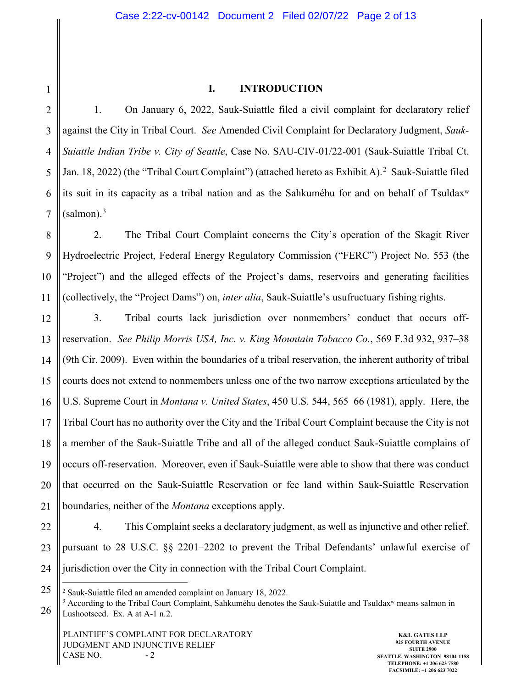## **I. INTRODUCTION**

2 3 4 5 6 7 1. On January 6, 2022, Sauk-Suiattle filed a civil complaint for declaratory relief against the City in Tribal Court. *See* Amended Civil Complaint for Declaratory Judgment, *Sauk-Suiattle Indian Tribe v. City of Seattle*, Case No. SAU-CIV-01/22-001 (Sauk-Suiattle Tribal Ct. Jan. 18, [2](#page-1-0)022) (the "Tribal Court Complaint") (attached hereto as Exhibit A).<sup>2</sup> Sauk-Suiattle filed its suit in its capacity as a tribal nation and as the Sahkuméhu for and on behalf of Tsuldaxʷ  $(salmon).<sup>3</sup>$  $(salmon).<sup>3</sup>$  $(salmon).<sup>3</sup>$ 

8 9 10 11 2. The Tribal Court Complaint concerns the City's operation of the Skagit River Hydroelectric Project, Federal Energy Regulatory Commission ("FERC") Project No. 553 (the "Project") and the alleged effects of the Project's dams, reservoirs and generating facilities (collectively, the "Project Dams") on, *inter alia*, Sauk-Suiattle's usufructuary fishing rights.

12 13 14 15 16 17 18 19 20 21 3. Tribal courts lack jurisdiction over nonmembers' conduct that occurs offreservation. *See Philip Morris USA, Inc. v. King Mountain Tobacco Co.*, 569 F.3d 932, 937–38 (9th Cir. 2009). Even within the boundaries of a tribal reservation, the inherent authority of tribal courts does not extend to nonmembers unless one of the two narrow exceptions articulated by the U.S. Supreme Court in *Montana v. United States*, 450 U.S. 544, 565–66 (1981), apply. Here, the Tribal Court has no authority over the City and the Tribal Court Complaint because the City is not a member of the Sauk-Suiattle Tribe and all of the alleged conduct Sauk-Suiattle complains of occurs off-reservation. Moreover, even if Sauk-Suiattle were able to show that there was conduct that occurred on the Sauk-Suiattle Reservation or fee land within Sauk-Suiattle Reservation boundaries, neither of the *Montana* exceptions apply.

22 23 24 4. This Complaint seeks a declaratory judgment, as well as injunctive and other relief, pursuant to 28 U.S.C. §§ 2201–2202 to prevent the Tribal Defendants' unlawful exercise of jurisdiction over the City in connection with the Tribal Court Complaint.

<sup>25</sup>

<span id="page-1-1"></span><span id="page-1-0"></span><sup>26</sup> <sup>2</sup> Sauk-Suiattle filed an amended complaint on January 18, 2022.<br><sup>3</sup> According to the Tribal Court Complaint, Sahkuméhu denotes the Sauk-Suiattle and Tsuldax<sup>w</sup> means salmon in Lushootseed. Ex. A at A-1 n.2.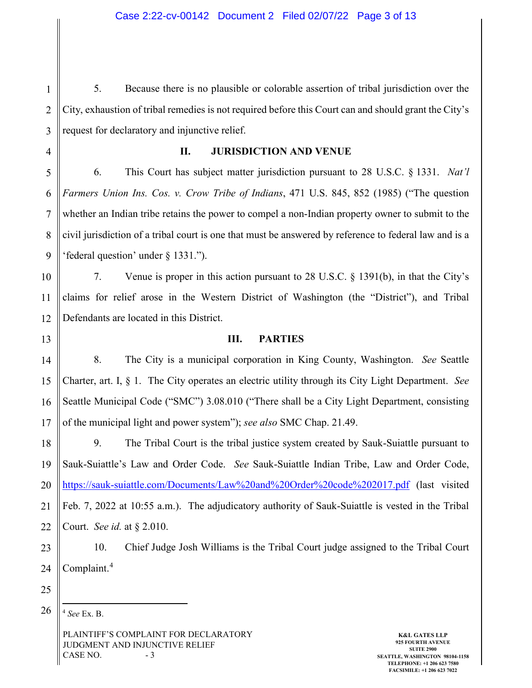1 2 3 5. Because there is no plausible or colorable assertion of tribal jurisdiction over the City, exhaustion of tribal remedies is not required before this Court can and should grant the City's request for declaratory and injunctive relief.

**II. JURISDICTION AND VENUE**

5 6 7 8 9 6. This Court has subject matter jurisdiction pursuant to 28 U.S.C. § 1331. *Nat'l Farmers Union Ins. Cos. v. Crow Tribe of Indians*, 471 U.S. 845, 852 (1985) ("The question whether an Indian tribe retains the power to compel a non-Indian property owner to submit to the civil jurisdiction of a tribal court is one that must be answered by reference to federal law and is a 'federal question' under § 1331.").

10 11 12 7. Venue is proper in this action pursuant to 28 U.S.C. § 1391(b), in that the City's claims for relief arose in the Western District of Washington (the "District"), and Tribal Defendants are located in this District.

13

4

**III. PARTIES**

14 15 16 17 8. The City is a municipal corporation in King County, Washington. *See* Seattle Charter, art. I, § 1. The City operates an electric utility through its City Light Department. *See*  Seattle Municipal Code ("SMC") 3.08.010 ("There shall be a City Light Department, consisting of the municipal light and power system"); *see also* SMC Chap. 21.49.

18 19 20 21 22 9. The Tribal Court is the tribal justice system created by Sauk-Suiattle pursuant to Sauk-Suiattle's Law and Order Code. *See* Sauk-Suiattle Indian Tribe, Law and Order Code, <https://sauk-suiattle.com/Documents/Law%20and%20Order%20code%202017.pdf> (last visited Feb. 7, 2022 at 10:55 a.m.). The adjudicatory authority of Sauk-Suiattle is vested in the Tribal Court. *See id.* at § 2.010.

23 24 10. Chief Judge Josh Williams is the Tribal Court judge assigned to the Tribal Court Complaint.[4](#page-2-0)

25

<span id="page-2-0"></span>26 4 *See* Ex. B.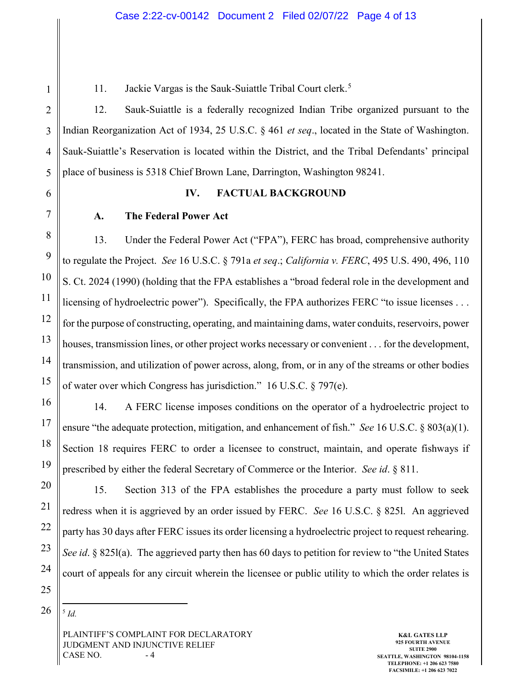11. Jackie Vargas is the Sauk-Suiattle Tribal Court clerk.<sup>[5](#page-3-0)</sup>

2 3 4 5 12. Sauk-Suiattle is a federally recognized Indian Tribe organized pursuant to the Indian Reorganization Act of 1934, 25 U.S.C. § 461 *et seq*., located in the State of Washington. Sauk-Suiattle's Reservation is located within the District, and the Tribal Defendants' principal place of business is 5318 Chief Brown Lane, Darrington, Washington 98241.

6

7

8

9

10

11

12

13

14

15

16

17

18

19

20

21

22

23

24

25

1

## **IV. FACTUAL BACKGROUND**

### **A. The Federal Power Act**

13. Under the Federal Power Act ("FPA"), FERC has broad, comprehensive authority to regulate the Project. *See* 16 U.S.C. § 791a *et seq*.; *California v. FERC*, 495 U.S. 490, 496, 110 S. Ct. 2024 (1990) (holding that the FPA establishes a "broad federal role in the development and licensing of hydroelectric power"). Specifically, the FPA authorizes FERC "to issue licenses . . . for the purpose of constructing, operating, and maintaining dams, water conduits, reservoirs, power houses, transmission lines, or other project works necessary or convenient . . . for the development, transmission, and utilization of power across, along, from, or in any of the streams or other bodies of water over which Congress has jurisdiction." 16 U.S.C. § 797(e).

14. A FERC license imposes conditions on the operator of a hydroelectric project to ensure "the adequate protection, mitigation, and enhancement of fish." *See* 16 U.S.C. § 803(a)(1). Section 18 requires FERC to order a licensee to construct, maintain, and operate fishways if prescribed by either the federal Secretary of Commerce or the Interior. *See id*. § 811.

15. Section 313 of the FPA establishes the procedure a party must follow to seek redress when it is aggrieved by an order issued by FERC. *See* 16 U.S.C. § 825l. An aggrieved party has 30 days after FERC issues its order licensing a hydroelectric project to request rehearing. *See id*. § 825l(a). The aggrieved party then has 60 days to petition for review to "the United States court of appeals for any circuit wherein the licensee or public utility to which the order relates is

<span id="page-3-0"></span>26 5 *Id.*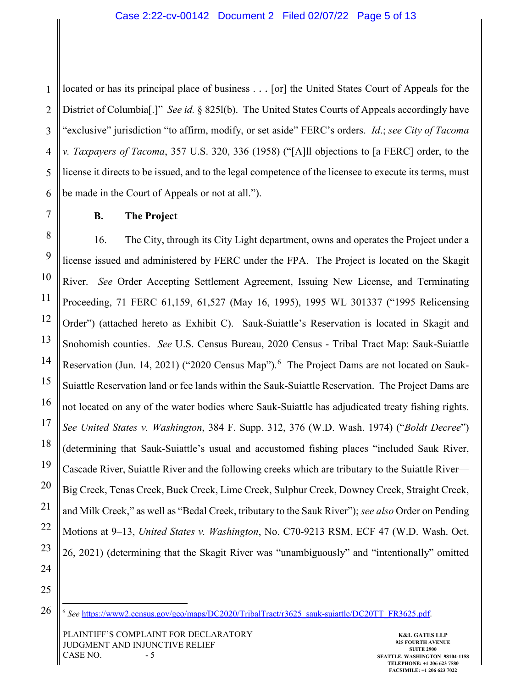1 2 3 4 5 6 located or has its principal place of business . . . [or] the United States Court of Appeals for the District of Columbia[.]" *See id.* § 825l(b). The United States Courts of Appeals accordingly have "exclusive" jurisdiction "to affirm, modify, or set aside" FERC's orders. *Id*.; *see City of Tacoma v. Taxpayers of Tacoma*, 357 U.S. 320, 336 (1958) ("[A]ll objections to [a FERC] order, to the license it directs to be issued, and to the legal competence of the licensee to execute its terms, must be made in the Court of Appeals or not at all.").

7

8

9

10

11

12

13

14

15

16

17

18

19

20

21

22

23

24

25

## **B. The Project**

16. The City, through its City Light department, owns and operates the Project under a license issued and administered by FERC under the FPA. The Project is located on the Skagit River. *See* Order Accepting Settlement Agreement, Issuing New License, and Terminating Proceeding, 71 FERC 61,159, 61,527 (May 16, 1995), 1995 WL 301337 ("1995 Relicensing Order") (attached hereto as Exhibit C). Sauk-Suiattle's Reservation is located in Skagit and Snohomish counties. *See* U.S. Census Bureau, 2020 Census - Tribal Tract Map: Sauk-Suiattle Reservation (Jun. 14, 2021) ("2020 Census Map").<sup>[6](#page-4-0)</sup> The Project Dams are not located on Sauk-Suiattle Reservation land or fee lands within the Sauk-Suiattle Reservation. The Project Dams are not located on any of the water bodies where Sauk-Suiattle has adjudicated treaty fishing rights. *See United States v. Washington*, 384 F. Supp. 312, 376 (W.D. Wash. 1974) ("*Boldt Decree*") (determining that Sauk-Suiattle's usual and accustomed fishing places "included Sauk River, Cascade River, Suiattle River and the following creeks which are tributary to the Suiattle River— Big Creek, Tenas Creek, Buck Creek, Lime Creek, Sulphur Creek, Downey Creek, Straight Creek, and Milk Creek," as well as "Bedal Creek, tributary to the Sauk River"); *see also* Order on Pending Motions at 9–13, *United States v. Washington*, No. C70-9213 RSM, ECF 47 (W.D. Wash. Oct. 26, 2021) (determining that the Skagit River was "unambiguously" and "intentionally" omitted

<span id="page-4-0"></span>26

 <sup>6</sup> *See* [https://www2.census.gov/geo/maps/DC2020/TribalTract/r3625\\_sauk-suiattle/DC20TT\\_FR3625.pdf.](https://www2.census.gov/geo/maps/DC2020/TribalTract/r3625_sauk-suiattle/DC20TT_FR3625.pdf)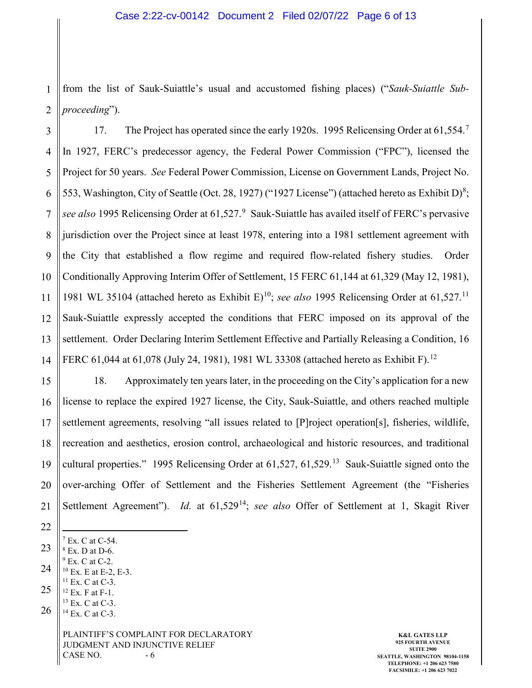1 2 from the list of Sauk-Suiattle's usual and accustomed fishing places) ("*Sauk-Suiattle Subproceeding*").

3 4 5 6 7 8 9 10 11 12 13 14 1[7](#page-5-0). The Project has operated since the early 1920s. 1995 Relicensing Order at 61,554.<sup>7</sup> In 1927, FERC's predecessor agency, the Federal Power Commission ("FPC"), licensed the Project for 50 years. *See* Federal Power Commission, License on Government Lands, Project No. 553, Washington, City of Seattle (Oct. 2[8](#page-5-1), 1927) ("1927 License") (attached hereto as Exhibit D)<sup>8</sup>; see also 1[9](#page-5-2)95 Relicensing Order at 61,527.<sup>9</sup> Sauk-Suiattle has availed itself of FERC's pervasive jurisdiction over the Project since at least 1978, entering into a 1981 settlement agreement with the City that established a flow regime and required flow-related fishery studies. Order Conditionally Approving Interim Offer of Settlement, 15 FERC 61,144 at 61,329 (May 12, 1981), 1981 WL 35104 (attached hereto as Exhibit E)[10;](#page-5-3) *see also* 1995 Relicensing Order at 61,527.[11](#page-5-4) Sauk-Suiattle expressly accepted the conditions that FERC imposed on its approval of the settlement. Order Declaring Interim Settlement Effective and Partially Releasing a Condition, 16 FERC 61,044 at 61,078 (July 24, 1981), 1981 WL 33308 (attached hereto as Exhibit F).<sup>[12](#page-5-5)</sup>

15 16 17 18 19 20 21 18. Approximately ten years later, in the proceeding on the City's application for a new license to replace the expired 1927 license, the City, Sauk-Suiattle, and others reached multiple settlement agreements, resolving "all issues related to [P]roject operation[s], fisheries, wildlife, recreation and aesthetics, erosion control, archaeological and historic resources, and traditional cultural properties." 1995 Relicensing Order at 61,527, 61,529.<sup>13</sup> Sauk-Suiattle signed onto the over-arching Offer of Settlement and the Fisheries Settlement Agreement (the "Fisheries Settlement Agreement"). *Id.* at 61,529<sup>[14](#page-5-7)</sup>; *see also* Offer of Settlement at 1, Skagit River

<span id="page-5-7"></span><span id="page-5-6"></span><span id="page-5-5"></span><span id="page-5-4"></span><span id="page-5-3"></span><span id="page-5-2"></span><span id="page-5-1"></span><span id="page-5-0"></span>PLAINTIFF'S COMPLAINT FOR DECLARATORY JUDGMENT AND INJUNCTIVE RELIEF  $CASE NO. - 6$ 23 24 25 26 7 Ex. C at C-54.  $8$  Ex. D at D-6.  $9$  Ex. C at C-2. <sup>10</sup> Ex. E at E-2, E-3. <sup>11</sup> Ex. C at C-3. <sup>12</sup> Ex. F at F-1. <sup>13</sup> Ex. C at C-3. <sup>14</sup> Ex. C at C-3.

**K&L GATES LLP 925 FOURTH AVENUE SUITE 2900 SEATTLE, WASHINGTON 98104-1158 TELEPHONE: +1 206 623 7580 FACSIMILE: +1 206 623 7022**

<sup>22</sup>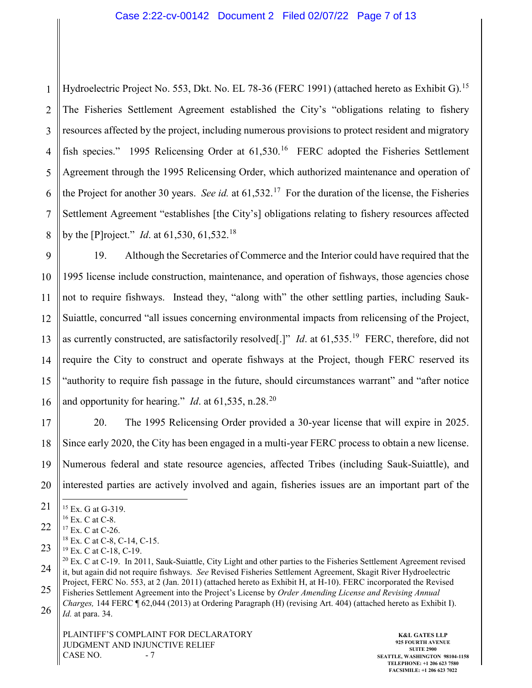#### Case 2:22-cv-00142 Document 2 Filed 02/07/22 Page 7 of 13

1 2 3 4 5 6 7 8 Hydroelectric Project No. 553, Dkt. No. EL 78-36 (FERC 1991) (attached hereto as Exhibit G).<sup>[15](#page-6-0)</sup> The Fisheries Settlement Agreement established the City's "obligations relating to fishery resources affected by the project, including numerous provisions to protect resident and migratory fish species." 1995 Relicensing Order at 61,530.<sup>[16](#page-6-1)</sup> FERC adopted the Fisheries Settlement Agreement through the 1995 Relicensing Order, which authorized maintenance and operation of the Project for another 30 years. *See id.* at 61,532.[17](#page-6-2) For the duration of the license, the Fisheries Settlement Agreement "establishes [the City's] obligations relating to fishery resources affected by the [P]roject." *Id*. at 61,530, 61,532.[18](#page-6-3)

9 10 11 12 13 14 15 16 19. Although the Secretaries of Commerce and the Interior could have required that the 1995 license include construction, maintenance, and operation of fishways, those agencies chose not to require fishways. Instead they, "along with" the other settling parties, including Sauk-Suiattle, concurred "all issues concerning environmental impacts from relicensing of the Project, as currently constructed, are satisfactorily resolved[.]" *Id*. at 61,535.[19](#page-6-4) FERC, therefore, did not require the City to construct and operate fishways at the Project, though FERC reserved its "authority to require fish passage in the future, should circumstances warrant" and "after notice and opportunity for hearing." *Id.* at  $61,535$ , n.28.<sup>[20](#page-6-5)</sup>

17 18 19 20 20. The 1995 Relicensing Order provided a 30-year license that will expire in 2025. Since early 2020, the City has been engaged in a multi-year FERC process to obtain a new license. Numerous federal and state resource agencies, affected Tribes (including Sauk-Suiattle), and interested parties are actively involved and again, fisheries issues are an important part of the

<span id="page-6-0"></span><sup>21</sup> <sup>15</sup> Ex. G at G-319.

<sup>16</sup> Ex. C at C-8.

<span id="page-6-2"></span><span id="page-6-1"></span><sup>22</sup> <sup>17</sup> Ex. C at C-26.

<sup>18</sup> Ex. C at C-8, C-14, C-15.

<span id="page-6-4"></span><span id="page-6-3"></span><sup>23</sup> <sup>19</sup> Ex. C at C-18, C-19.

<span id="page-6-5"></span><sup>24</sup> 25 <sup>20</sup> Ex. C at C-19. In 2011, Sauk-Suiattle, City Light and other parties to the Fisheries Settlement Agreement revised it, but again did not require fishways. *See* Revised Fisheries Settlement Agreement, Skagit River Hydroelectric Project, FERC No. 553, at 2 (Jan. 2011) (attached hereto as Exhibit H, at H-10). FERC incorporated the Revised

Fisheries Settlement Agreement into the Project's License by *Order Amending License and Revising Annual Charges,* 144 FERC ¶ 62,044 (2013) at Ordering Paragraph (H) (revising Art. 404) (attached hereto as Exhibit I).

<sup>26</sup> *Id.* at para. 34.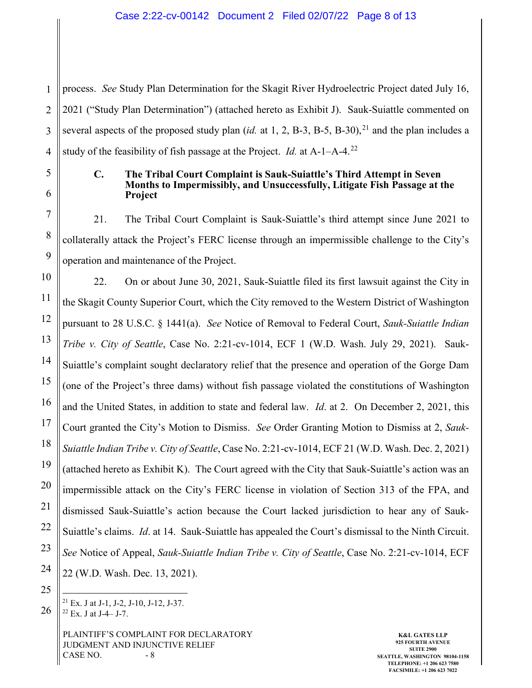1 process. *See* Study Plan Determination for the Skagit River Hydroelectric Project dated July 16, 2021 ("Study Plan Determination") (attached hereto as Exhibit J). Sauk-Suiattle commented on several aspects of the proposed study plan (*id.* at 1, 2, B-3, B-5, B-30),<sup>[21](#page-7-0)</sup> and the plan includes a study of the feasibility of fish passage at the Project. *Id.* at A-1–A-4.[22](#page-7-1) 

#### **C. The Tribal Court Complaint is Sauk-Suiattle's Third Attempt in Seven Months to Impermissibly, and Unsuccessfully, Litigate Fish Passage at the Project**

21. The Tribal Court Complaint is Sauk-Suiattle's third attempt since June 2021 to collaterally attack the Project's FERC license through an impermissible challenge to the City's operation and maintenance of the Project.

22. On or about June 30, 2021, Sauk-Suiattle filed its first lawsuit against the City in the Skagit County Superior Court, which the City removed to the Western District of Washington pursuant to 28 U.S.C. § 1441(a). *See* Notice of Removal to Federal Court, *Sauk-Suiattle Indian Tribe v. City of Seattle*, Case No. 2:21-cv-1014, ECF 1 (W.D. Wash. July 29, 2021). Sauk-Suiattle's complaint sought declaratory relief that the presence and operation of the Gorge Dam (one of the Project's three dams) without fish passage violated the constitutions of Washington and the United States, in addition to state and federal law. *Id*. at 2. On December 2, 2021, this Court granted the City's Motion to Dismiss. *See* Order Granting Motion to Dismiss at 2, *Sauk-Suiattle Indian Tribe v. City of Seattle*, Case No. 2:21-cv-1014, ECF 21 (W.D. Wash. Dec. 2, 2021) (attached hereto as Exhibit K). The Court agreed with the City that Sauk-Suiattle's action was an impermissible attack on the City's FERC license in violation of Section 313 of the FPA, and dismissed Sauk-Suiattle's action because the Court lacked jurisdiction to hear any of Sauk-Suiattle's claims. *Id*. at 14. Sauk-Suiattle has appealed the Court's dismissal to the Ninth Circuit. *See* Notice of Appeal, *Sauk-Suiattle Indian Tribe v. City of Seattle*, Case No. 2:21-cv-1014, ECF 22 (W.D. Wash. Dec. 13, 2021).

<span id="page-7-1"></span><span id="page-7-0"></span> $21$  Ex. J at J-1, J-2, J-10, J-12, J-37. <sup>22</sup> Ex. J at J-4– J-7.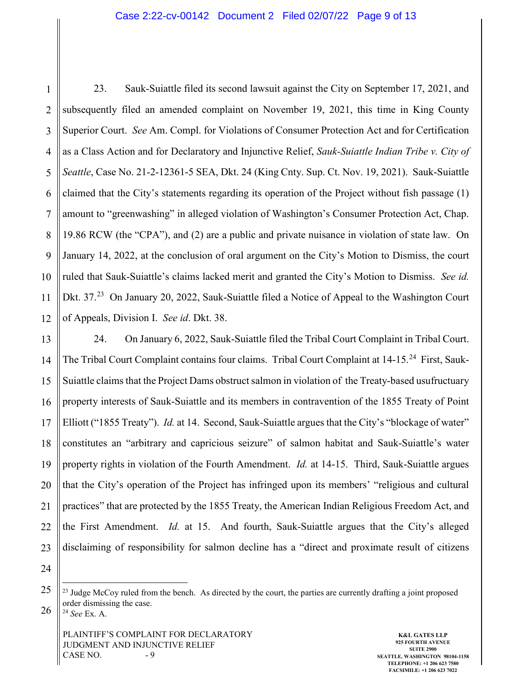#### Case 2:22-cv-00142 Document 2 Filed 02/07/22 Page 9 of 13

1 2 3 4 5 6 7 8 9 10 11 12 23. Sauk-Suiattle filed its second lawsuit against the City on September 17, 2021, and subsequently filed an amended complaint on November 19, 2021, this time in King County Superior Court. *See* Am. Compl. for Violations of Consumer Protection Act and for Certification as a Class Action and for Declaratory and Injunctive Relief, *Sauk-Suiattle Indian Tribe v. City of Seattle*, Case No. 21-2-12361-5 SEA, Dkt. 24 (King Cnty. Sup. Ct. Nov. 19, 2021). Sauk-Suiattle claimed that the City's statements regarding its operation of the Project without fish passage (1) amount to "greenwashing" in alleged violation of Washington's Consumer Protection Act, Chap. 19.86 RCW (the "CPA"), and (2) are a public and private nuisance in violation of state law. On January 14, 2022, at the conclusion of oral argument on the City's Motion to Dismiss, the court ruled that Sauk-Suiattle's claims lacked merit and granted the City's Motion to Dismiss. *See id.*  Dkt. 37.<sup>23</sup> On January 20, 2022, Sauk-Suiattle filed a Notice of Appeal to the Washington Court of Appeals, Division I. *See id*. Dkt. 38.

13 14 15 16 17 18 19 20 21 22 23 24. On January 6, 2022, Sauk-Suiattle filed the Tribal Court Complaint in Tribal Court. The Tribal Court Complaint contains four claims. Tribal Court Complaint at 14-15.<sup>[24](#page-8-1)</sup> First, Sauk-Suiattle claims that the Project Dams obstruct salmon in violation of the Treaty-based usufructuary property interests of Sauk-Suiattle and its members in contravention of the 1855 Treaty of Point Elliott ("1855 Treaty"). *Id.* at 14. Second, Sauk-Suiattle argues that the City's "blockage of water" constitutes an "arbitrary and capricious seizure" of salmon habitat and Sauk-Suiattle's water property rights in violation of the Fourth Amendment. *Id.* at 14-15. Third, Sauk-Suiattle argues that the City's operation of the Project has infringed upon its members' "religious and cultural practices" that are protected by the 1855 Treaty, the American Indian Religious Freedom Act, and the First Amendment. *Id.* at 15. And fourth, Sauk-Suiattle argues that the City's alleged disclaiming of responsibility for salmon decline has a "direct and proximate result of citizens

24

<span id="page-8-0"></span>25

<sup>&</sup>lt;sup>23</sup> Judge McCoy ruled from the bench. As directed by the court, the parties are currently drafting a joint proposed order dismissing the case.

<span id="page-8-1"></span><sup>26</sup> <sup>24</sup> *See* Ex. A.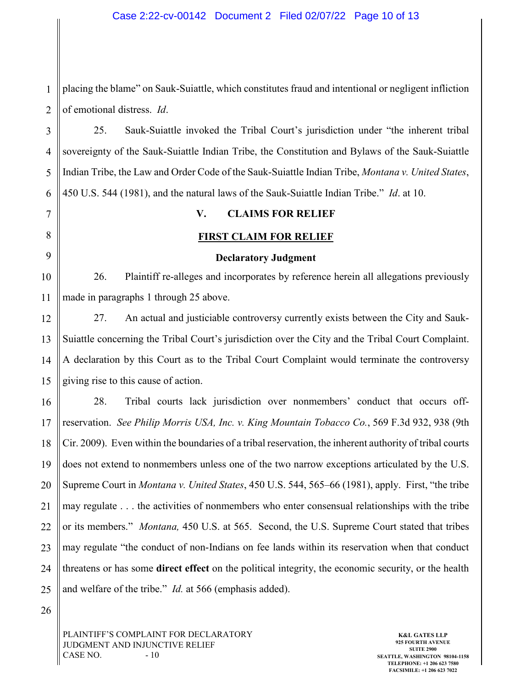1 2 placing the blame" on Sauk-Suiattle, which constitutes fraud and intentional or negligent infliction of emotional distress. *Id*.

3 4 5 6 25. Sauk-Suiattle invoked the Tribal Court's jurisdiction under "the inherent tribal sovereignty of the Sauk-Suiattle Indian Tribe, the Constitution and Bylaws of the Sauk-Suiattle Indian Tribe, the Law and Order Code of the Sauk-Suiattle Indian Tribe, *Montana v. United States*, 450 U.S. 544 (1981), and the natural laws of the Sauk-Suiattle Indian Tribe." *Id*. at 10.

7 8

9

10

11

## **FIRST CLAIM FOR RELIEF**

**V. CLAIMS FOR RELIEF**

#### **Declaratory Judgment**

26. Plaintiff re-alleges and incorporates by reference herein all allegations previously made in paragraphs 1 through 25 above.

12 13 14 15 27. An actual and justiciable controversy currently exists between the City and Sauk-Suiattle concerning the Tribal Court's jurisdiction over the City and the Tribal Court Complaint. A declaration by this Court as to the Tribal Court Complaint would terminate the controversy giving rise to this cause of action.

16 17 18 19 20 21 22 23 24 25 28. Tribal courts lack jurisdiction over nonmembers' conduct that occurs offreservation. *See Philip Morris USA, Inc. v. King Mountain Tobacco Co.*, 569 F.3d 932, 938 (9th Cir. 2009). Even within the boundaries of a tribal reservation, the inherent authority of tribal courts does not extend to nonmembers unless one of the two narrow exceptions articulated by the U.S. Supreme Court in *Montana v. United States*, 450 U.S. 544, 565–66 (1981), apply. First, "the tribe may regulate . . . the activities of nonmembers who enter consensual relationships with the tribe or its members." *Montana,* 450 U.S. at 565. Second, the U.S. Supreme Court stated that tribes may regulate "the conduct of non-Indians on fee lands within its reservation when that conduct threatens or has some **direct effect** on the political integrity, the economic security, or the health and welfare of the tribe." *Id.* at 566 (emphasis added).

26

PLAINTIFF'S COMPLAINT FOR DECLARATORY JUDGMENT AND INJUNCTIVE RELIEF CASE NO.  $-10$ 

**K&L GATES LLP 925 FOURTH AVENUE SUITE 2900 SEATTLE, WASHINGTON 98104-1158 TELEPHONE: +1 206 623 7580 FACSIMILE: +1 206 623 7022**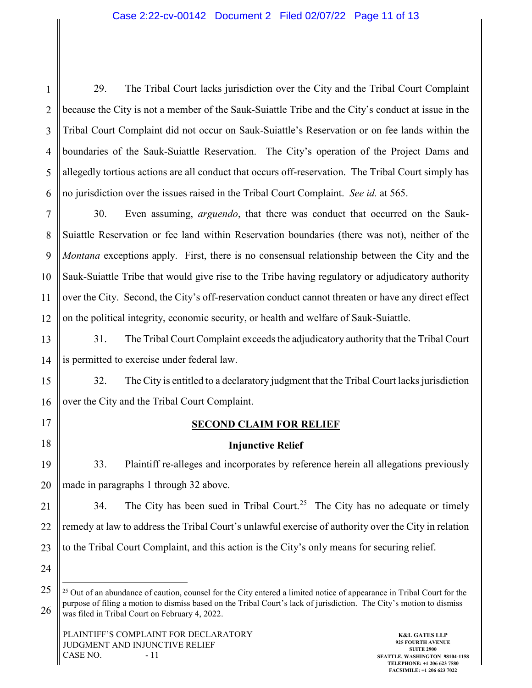1 2 3 4 5 6 29. The Tribal Court lacks jurisdiction over the City and the Tribal Court Complaint because the City is not a member of the Sauk-Suiattle Tribe and the City's conduct at issue in the Tribal Court Complaint did not occur on Sauk-Suiattle's Reservation or on fee lands within the boundaries of the Sauk-Suiattle Reservation. The City's operation of the Project Dams and allegedly tortious actions are all conduct that occurs off-reservation. The Tribal Court simply has no jurisdiction over the issues raised in the Tribal Court Complaint. *See id.* at 565.

7 8 9 10 11 12 30. Even assuming, *arguendo*, that there was conduct that occurred on the Sauk-Suiattle Reservation or fee land within Reservation boundaries (there was not), neither of the *Montana* exceptions apply. First, there is no consensual relationship between the City and the Sauk-Suiattle Tribe that would give rise to the Tribe having regulatory or adjudicatory authority over the City. Second, the City's off-reservation conduct cannot threaten or have any direct effect on the political integrity, economic security, or health and welfare of Sauk-Suiattle.

13 14 31. The Tribal Court Complaint exceeds the adjudicatory authority that the Tribal Court is permitted to exercise under federal law.

15 16 32. The City is entitled to a declaratory judgment that the Tribal Court lacks jurisdiction over the City and the Tribal Court Complaint.

17

18

## **SECOND CLAIM FOR RELIEF**

## **Injunctive Relief**

19 20 33. Plaintiff re-alleges and incorporates by reference herein all allegations previously made in paragraphs 1 through 32 above.

21 22 23 34. The City has been sued in Tribal Court.<sup>[25](#page-10-0)</sup> The City has no adequate or timely remedy at law to address the Tribal Court's unlawful exercise of authority over the City in relation to the Tribal Court Complaint, and this action is the City's only means for securing relief.

24

<span id="page-10-0"></span><sup>25</sup> 26 <sup>25</sup> Out of an abundance of caution, counsel for the City entered a limited notice of appearance in Tribal Court for the purpose of filing a motion to dismiss based on the Tribal Court's lack of jurisdiction. The City's motion to dismiss was filed in Tribal Court on February 4, 2022.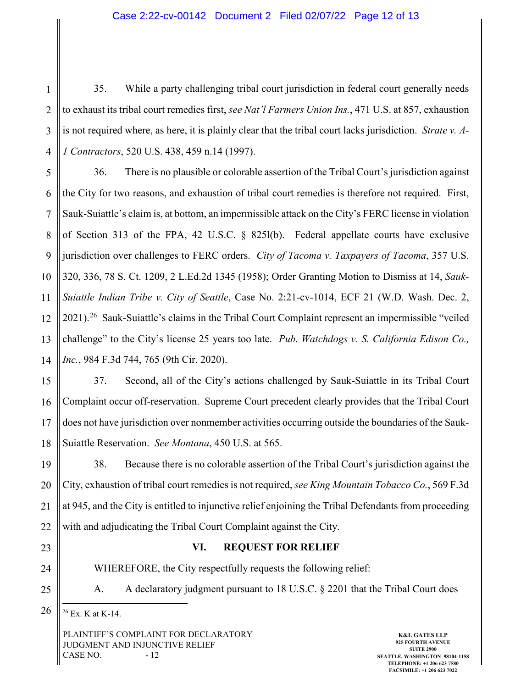### Case 2:22-cv-00142 Document 2 Filed 02/07/22 Page 12 of 13

1 2 3 4 35. While a party challenging tribal court jurisdiction in federal court generally needs to exhaust its tribal court remedies first, *see Nat'l Farmers Union Ins.*, 471 U.S. at 857, exhaustion is not required where, as here, it is plainly clear that the tribal court lacks jurisdiction. *Strate v. A-1 Contractors*, 520 U.S. 438, 459 n.14 (1997).

5 6 7 8 9 10 11 12 13 14 36. There is no plausible or colorable assertion of the Tribal Court's jurisdiction against the City for two reasons, and exhaustion of tribal court remedies is therefore not required. First, Sauk-Suiattle's claim is, at bottom, an impermissible attack on the City's FERC license in violation of Section 313 of the FPA, 42 U.S.C. § 825l(b). Federal appellate courts have exclusive jurisdiction over challenges to FERC orders. *City of Tacoma v. Taxpayers of Tacoma*, 357 U.S. 320, 336, 78 S. Ct. 1209, 2 L.Ed.2d 1345 (1958); Order Granting Motion to Dismiss at 14, *Sauk-Suiattle Indian Tribe v. City of Seattle*, Case No. 2:21-cv-1014, ECF 21 (W.D. Wash. Dec. 2, 2021).[26](#page-11-0) Sauk-Suiattle's claims in the Tribal Court Complaint represent an impermissible "veiled challenge" to the City's license 25 years too late. *Pub. Watchdogs v. S. California Edison Co., Inc.*, 984 F.3d 744, 765 (9th Cir. 2020).

15 16 17 18 37. Second, all of the City's actions challenged by Sauk-Suiattle in its Tribal Court Complaint occur off-reservation. Supreme Court precedent clearly provides that the Tribal Court does not have jurisdiction over nonmember activities occurring outside the boundaries of the Sauk-Suiattle Reservation. *See Montana*, 450 U.S. at 565.

19 20 21 22 38. Because there is no colorable assertion of the Tribal Court's jurisdiction against the City, exhaustion of tribal court remedies is not required, *see King Mountain Tobacco Co.*, 569 F.3d at 945, and the City is entitled to injunctive relief enjoining the Tribal Defendants from proceeding with and adjudicating the Tribal Court Complaint against the City.

- 23
- 24

## **VI. REQUEST FOR RELIEF**

WHEREFORE, the City respectfully requests the following relief:

25

A. A declaratory judgment pursuant to 18 U.S.C. § 2201 that the Tribal Court does

<span id="page-11-0"></span>26 26 Ex. K at K-14.